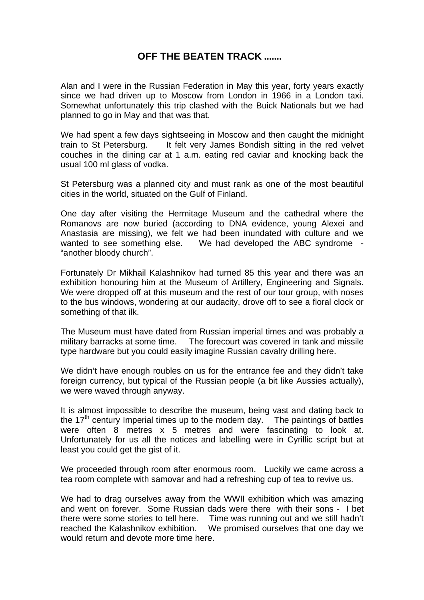## **OFF THE BEATEN TRACK .......**

Alan and I were in the Russian Federation in May this year, forty years exactly since we had driven up to Moscow from London in 1966 in a London taxi. Somewhat unfortunately this trip clashed with the Buick Nationals but we had planned to go in May and that was that.

We had spent a few days sightseeing in Moscow and then caught the midnight train to St Petersburg. It felt very James Bondish sitting in the red velvet couches in the dining car at 1 a.m. eating red caviar and knocking back the usual 100 ml glass of vodka.

St Petersburg was a planned city and must rank as one of the most beautiful cities in the world, situated on the Gulf of Finland.

One day after visiting the Hermitage Museum and the cathedral where the Romanovs are now buried (according to DNA evidence, young Alexei and Anastasia are missing), we felt we had been inundated with culture and we wanted to see something else. We had developed the ABC syndrome - "another bloody church".

Fortunately Dr Mikhail Kalashnikov had turned 85 this year and there was an exhibition honouring him at the Museum of Artillery, Engineering and Signals. We were dropped off at this museum and the rest of our tour group, with noses to the bus windows, wondering at our audacity, drove off to see a floral clock or something of that ilk.

The Museum must have dated from Russian imperial times and was probably a military barracks at some time. The forecourt was covered in tank and missile type hardware but you could easily imagine Russian cavalry drilling here.

We didn't have enough roubles on us for the entrance fee and they didn't take foreign currency, but typical of the Russian people (a bit like Aussies actually), we were waved through anyway.

It is almost impossible to describe the museum, being vast and dating back to the  $17<sup>th</sup>$  century Imperial times up to the modern day. The paintings of battles were often 8 metres x 5 metres and were fascinating to look at. Unfortunately for us all the notices and labelling were in Cyrillic script but at least you could get the gist of it.

We proceeded through room after enormous room. Luckily we came across a tea room complete with samovar and had a refreshing cup of tea to revive us.

We had to drag ourselves away from the WWII exhibition which was amazing and went on forever. Some Russian dads were there with their sons - I bet there were some stories to tell here. Time was running out and we still hadn't reached the Kalashnikov exhibition. We promised ourselves that one day we would return and devote more time here.